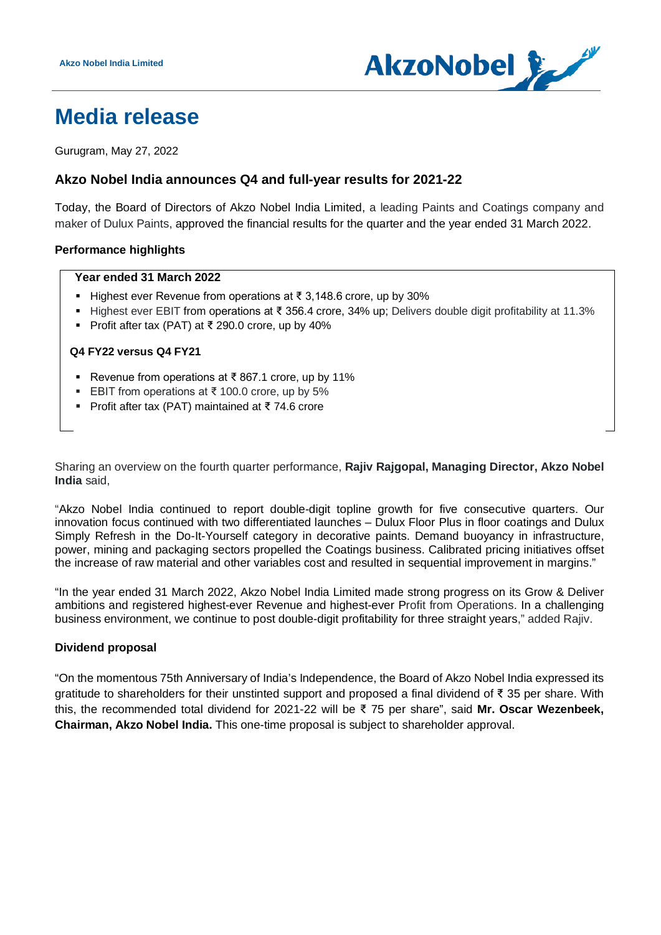

# **Media release**

Gurugram, May 27, 2022

# **Akzo Nobel India announces Q4 and full-year results for 2021-22**

Today, the Board of Directors of Akzo Nobel India Limited, a leading Paints and Coatings company and maker of Dulux Paints, approved the financial results for the quarter and the year ended 31 March 2022.

# **Performance highlights**

#### **Year ended 31 March 2022**

- Highest ever Revenue from operations at ₹ 3,148.6 crore, up by 30%
- Highest ever EBIT from operations at ₹ 356.4 crore, 34% up; Delivers double digit profitability at 11.3%
- Profit after tax (PAT) at ₹ 290.0 crore, up by 40%

#### **Q4 FY22 versus Q4 FY21**

- Revenue from operations at ₹ 867.1 crore, up by 11%
- EBIT from operations at ₹ 100.0 crore, up by 5%
- Profit after tax (PAT) maintained at ₹74.6 crore

Sharing an overview on the fourth quarter performance, **Rajiv Rajgopal, Managing Director, Akzo Nobel India** said,

"Akzo Nobel India continued to report double-digit topline growth for five consecutive quarters. Our innovation focus continued with two differentiated launches – Dulux Floor Plus in floor coatings and Dulux Simply Refresh in the Do-It-Yourself category in decorative paints. Demand buoyancy in infrastructure, power, mining and packaging sectors propelled the Coatings business. Calibrated pricing initiatives offset the increase of raw material and other variables cost and resulted in sequential improvement in margins."

"In the year ended 31 March 2022, Akzo Nobel India Limited made strong progress on its Grow & Deliver ambitions and registered highest-ever Revenue and highest-ever Profit from Operations. In a challenging business environment, we continue to post double-digit profitability for three straight years," added Rajiv.

# **Dividend proposal**

"On the momentous 75th Anniversary of India's Independence, the Board of Akzo Nobel India expressed its gratitude to shareholders for their unstinted support and proposed a final dividend of ₹ 35 per share. With this, the recommended total dividend for 2021-22 will be ₹ 75 per share", said **Mr. Oscar Wezenbeek, Chairman, Akzo Nobel India.** This one-time proposal is subject to shareholder approval.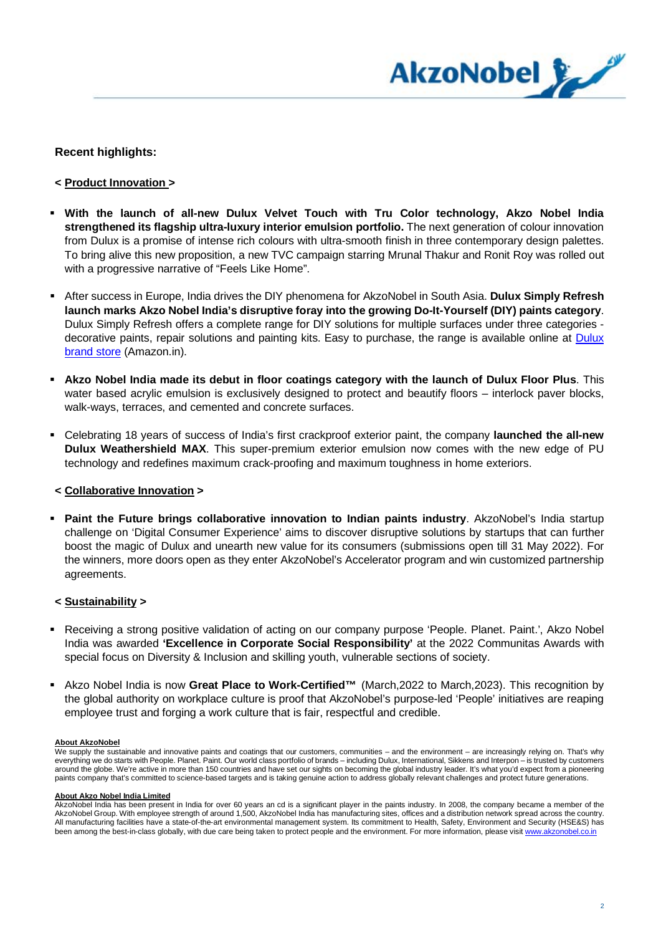

# **Recent highlights:**

- **< Product Innovation >**
- **With the launch of all-new Dulux Velvet Touch with Tru Color technology, Akzo Nobel India strengthened its flagship ultra-luxury interior emulsion portfolio.** The next generation of colour innovation from Dulux is a promise of intense rich colours with ultra-smooth finish in three contemporary design palettes. To bring alive this new proposition, a new TVC campaign starring Mrunal Thakur and Ronit Roy was rolled out with a progressive narrative of "Feels Like Home".
- After success in Europe, India drives the DIY phenomena for AkzoNobel in South Asia. **Dulux Simply Refresh launch marks Akzo Nobel India's disruptive foray into the growing Do-It-Yourself (DIY) paints category**. Dulux Simply Refresh offers a complete range for DIY solutions for multiple surfaces under three categories decorative paints, repair solutions and painting kits. Easy to purchase, the range is available online at **Dulux** [brand store](https://amazon.in/dulux) (Amazon.in).
- **Akzo Nobel India made its debut in floor coatings category with the launch of Dulux Floor Plus**. This water based acrylic emulsion is exclusively designed to protect and beautify floors – interlock paver blocks, walk-ways, terraces, and cemented and concrete surfaces.
- Celebrating 18 years of success of India's first crackproof exterior paint, the company **launched the all-new Dulux Weathershield MAX**. This super-premium exterior emulsion now comes with the new edge of PU technology and redefines maximum crack-proofing and maximum toughness in home exteriors.

#### **< Collaborative Innovation >**

 **Paint the Future brings collaborative innovation to Indian paints industry**. AkzoNobel's India startup challenge on 'Digital Consumer Experience' aims to discover disruptive solutions by startups that can further boost the magic of Dulux and unearth new value for its consumers (submissions open till 31 May 2022). For the winners, more doors open as they enter AkzoNobel's Accelerator program and win customized partnership agreements.

#### **< Sustainability >**

- Receiving a strong positive validation of acting on our company purpose 'People. Planet. Paint.', Akzo Nobel India was awarded **'Excellence in Corporate Social Responsibility'** at the 2022 Communitas Awards with special focus on Diversity & Inclusion and skilling youth, vulnerable sections of society.
- Akzo Nobel India is now **Great Place to Work-Certified™** (March,2022 to March,2023). This recognition by the global authority on workplace culture is proof that AkzoNobel's purpose-led 'People' initiatives are reaping employee trust and forging a work culture that is fair, respectful and credible.

#### **About AkzoNobel**

We supply the sustainable and innovative paints and coatings that our customers, communities – and the environment – are increasingly relying on. That's why everything we do starts with People. Planet. Paint. Our world class portfolio of brands – including Dulux, International, Sikkens and Interpon – is trusted by customers around the globe. We're active in more than 150 countries and have set our sights on becoming the global industry leader. It's what you'd expect from a pioneering paints company that's committed to science-based targets and is taking genuine action to address globally relevant challenges and protect future generations.

#### **About Akzo Nobel India Limited**

AkzoNobel India has been present in India for over 60 years an cd is a significant player in the paints industry. In 2008, the company became a member of the AkzoNobel Group. With employee strength of around 1,500, AkzoNobel India has manufacturing sites, offices and a distribution network spread across the country. All manufacturing facilities have a state-of-the-art environmental management system. Its commitment to Health, Safety, Environment and Security (HSE&S) has been among the best-in-class globally, with due care being taken to protect people and the environment. For more information, please visi[t www.akzonobel.co.in](http://www.akzonobel.co.in/)